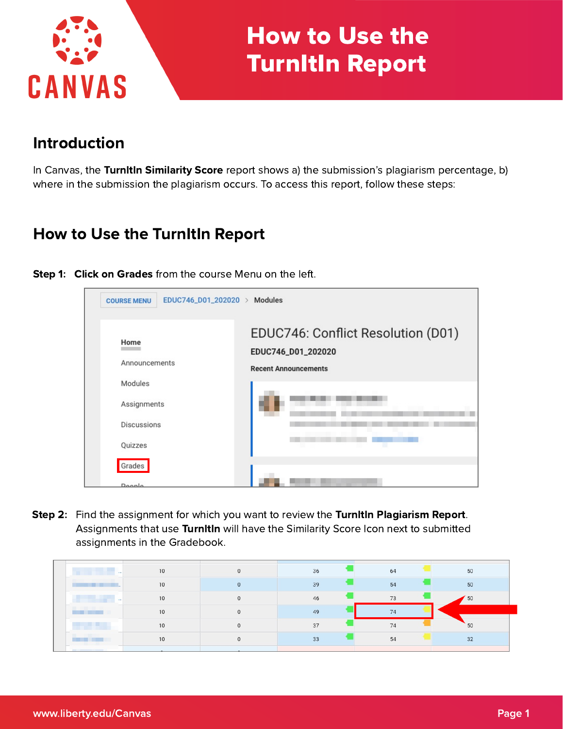

# How to Use the TurnItIn Report

# Introduction

In Canvas, the Turnitin Similarity Score report shows a) the submission's plagiarism percentage, b) where in the submission the plagiarism occurs. To access this report, follow these steps:

# How to Use the TurnItIn Report

| EDUC746_D01_202020 ><br><b>COURSE MENU</b> | Modules                                                                                 |
|--------------------------------------------|-----------------------------------------------------------------------------------------|
| Home<br>Announcements                      | EDUC746: Conflict Resolution (D01)<br>EDUC746_D01_202020<br><b>Recent Announcements</b> |
| Modules                                    |                                                                                         |
| Assignments                                |                                                                                         |
| <b>Discussions</b>                         |                                                                                         |
| Quizzes                                    |                                                                                         |
| Grades                                     |                                                                                         |
| Doonlo                                     |                                                                                         |

Step 1: Click on Grades from the course Menu on the left.

Step 2: Find the assignment for which you want to review the Turnitin Plagiarism Report. Assignments that use Turnitin will have the Similarity Score Icon next to submitted assignments in the Gradebook.

| 444                                  | 10 | 36 | 64 | 50 |
|--------------------------------------|----|----|----|----|
|                                      | 10 | 39 | 54 | 50 |
| $-0.001$                             | 10 | 46 | 73 | 50 |
|                                      | 10 | 49 | 74 |    |
|                                      | 10 | 37 | 74 | 50 |
|                                      | 10 | 33 | 54 | 32 |
| And in the company of the company of |    |    |    |    |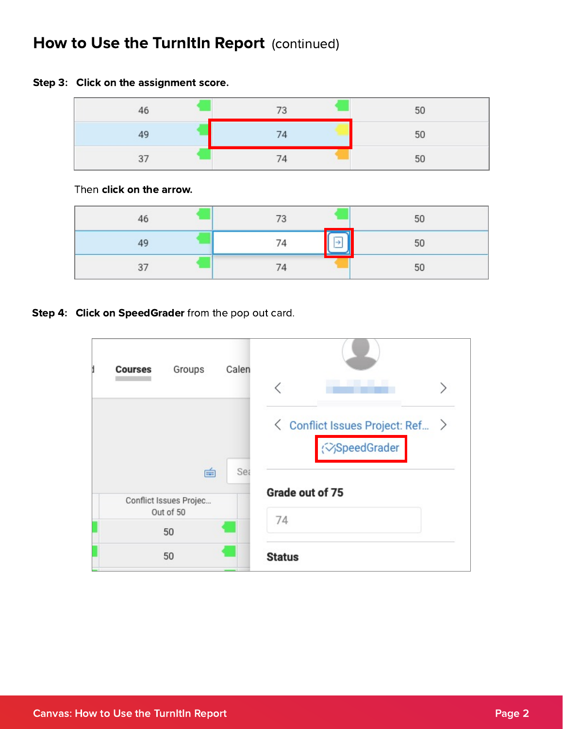#### Step 3: Click on the assignment score.

| 46 | 73 | 50 |
|----|----|----|
| 49 | 74 | 50 |
| 3, | 74 | 50 |

Then click on the arrow.

| 46 | 73 | 50 |
|----|----|----|
| 49 |    | 50 |
| 37 | 74 | 50 |

Step 4: Click on SpeedGrader from the pop out card.

| Groups<br><b>Courses</b>                 | Calen |                                                                    |
|------------------------------------------|-------|--------------------------------------------------------------------|
|                                          |       | ← Conflict Issues Project: Ref ><br><b>&lt;&gt;&gt;SpeedGrader</b> |
| 面<br>Conflict Issues Projec<br>Out of 50 | Sea   | Grade out of 75<br>74                                              |
| 50                                       |       |                                                                    |
| 50                                       |       | <b>Status</b>                                                      |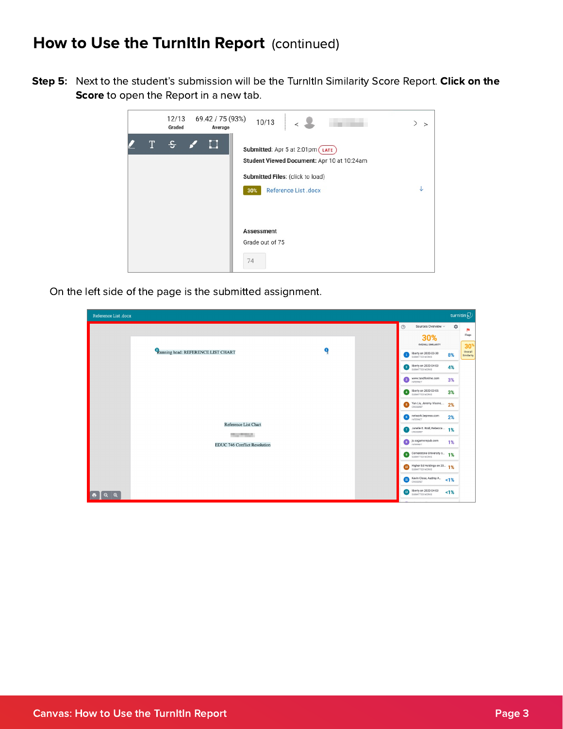Step 5: Next to the student's submission will be the TurnItIn Similarity Score Report. Click on the Score to open the Report in a new tab.

|   | 12/13<br>Graded | 69.42 / 75 (93%)<br>Average | 10/13                                                                                                                                            | ⋋<br>$\geq$ |
|---|-----------------|-----------------------------|--------------------------------------------------------------------------------------------------------------------------------------------------|-------------|
| T |                 |                             | Submitted: Apr 5 at 2:01pm LATE<br>Student Viewed Document: Apr 10 at 10:24am<br>Submitted Files: (click to load)<br>Reference List .docx<br>30% |             |
|   |                 |                             | <b>Assessment</b><br>Grade out of 75<br>74                                                                                                       |             |

On the left side of the page is the submitted assignment.

| Reference List .docx                            |   | turnitin $\overline{\mathcal{D}}$                                                            |
|-------------------------------------------------|---|----------------------------------------------------------------------------------------------|
|                                                 |   | $\odot$<br>Sources Overview v<br>÷<br>٣ı                                                     |
|                                                 |   | Flags<br>30%<br><b>OVERALL SIMILARITY</b><br>$30*$                                           |
| <sup>2</sup> Running head: REFERENCE LIST CHART | Ω | Overall<br>liberty on 2020-03-30<br>8%<br>$\vert 1 \rangle$<br>Similarity<br>SUBMITTED WORKS |
|                                                 |   | 2 liberty on 2020-04-03<br>4%                                                                |
|                                                 |   | <b>3</b> WWW.tandfonline.com<br>3%                                                           |
|                                                 |   | <b>4</b> liberty on 2020-03-05<br>SUBMITTED WORKS<br>3%                                      |
|                                                 |   | S Yan Liu, Jeremy Visone,  2%                                                                |
|                                                 |   | 6 network.bepress.com<br>2%<br>INTERNET                                                      |
| Reference List Chart<br>The Company             |   | Janelle E. Rodl, Rebecca  1%<br>CROSSREF                                                     |
| <b>EDUC 746 Conflict Resolution</b>             |   | S. Sagamorepub.com<br>1%                                                                     |
|                                                 |   | <b>9</b> Cornerstone University o 1%                                                         |
|                                                 |   | <b>10</b> Higher Ed Holdings on 20 1%                                                        |
|                                                 |   | Kevin Close, Audrey A<br>1%<br>CROSSREF                                                      |
| $Q$ $Q$<br>$\ddot{\bullet}$                     |   | 12 liberty on 2020-04-03<br>1%                                                               |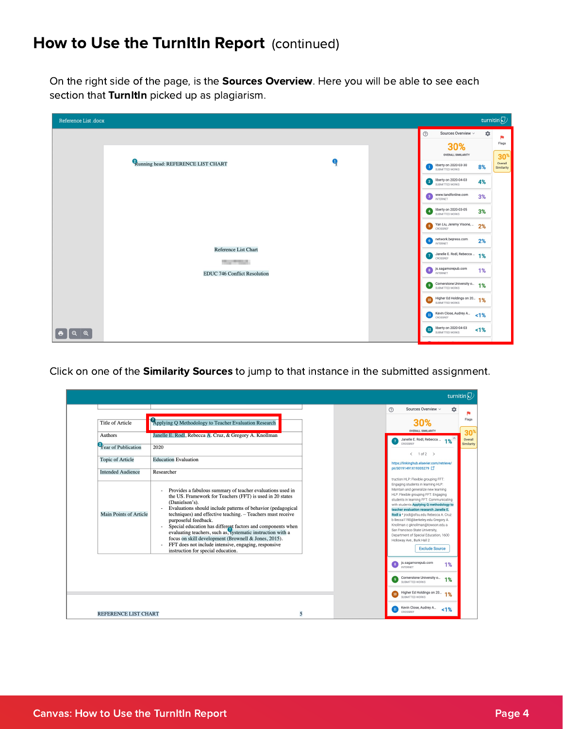On the right side of the page, is the **Sources Overview**. Here you will be able to see each section that TurnItIn picked up as plagiarism.

| Reference List .docx           |                                        |              |                                                    |    | turnitin $\bigcirc$            |
|--------------------------------|----------------------------------------|--------------|----------------------------------------------------|----|--------------------------------|
|                                |                                        |              | $\circledcirc$<br>Sources Overview v               | 4  | P.                             |
|                                |                                        |              | 30%<br><b>OVERALL SIMILARITY</b>                   |    | Flags                          |
|                                | Running head: REFERENCE LIST CHART     | $\mathbf{Q}$ | Iberty on 2020-03-30<br>SUBMITTED WORKS            | 8% | $30*$<br>Overall<br>Similarity |
|                                |                                        |              | 2 liberty on 2020-04-03                            | 4% |                                |
|                                |                                        |              | <b>3</b> WWW.tandfonline.com<br>INTERNET           | 3% |                                |
|                                |                                        |              | 4 liberty on 2020-03-05<br>SUBMITTED WORKS         | 3% |                                |
|                                |                                        |              | <b>5</b> Yan Liu, Jeremy Visone,<br>CROSSREF       | 2% |                                |
|                                |                                        |              | 6 network.bepress.com                              | 2% |                                |
|                                | Reference List Chart<br>The Controller |              | Janelle E. Rodl, Rebecca  1%<br>CROSSREF           |    |                                |
|                                | <b>EDUC 746 Conflict Resolution</b>    |              | 8 js.sagamorepub.com<br><b>INTERNET</b>            | 1% |                                |
|                                |                                        |              | <b>9</b> Cornerstone University o 1%               |    |                                |
|                                |                                        |              | Higher Ed Holdings on 20 1%<br>SUBMITTED WORKS     |    |                                |
|                                |                                        |              | Kevin Close, Audrey A                              | 1% |                                |
| $\bullet$<br>ା ବ.ା<br>$\Theta$ |                                        |              | <b>12</b> liberty on 2020-04-03<br>SUBMITTED WORKS | 1% |                                |
|                                |                                        |              |                                                    |    |                                |

Click on one of the **Similarity Sources** to jump to that instance in the submitted assignment.

|                                                     |                                                                                                                                                                                                                                                                                                                                                                                                                                                                                                                                                                                                                                              |   |                                                                                                                                                                                                                                                                                                                                                                                                                                                                                                                                                      | turnitin $\mathcal{D}$                   |
|-----------------------------------------------------|----------------------------------------------------------------------------------------------------------------------------------------------------------------------------------------------------------------------------------------------------------------------------------------------------------------------------------------------------------------------------------------------------------------------------------------------------------------------------------------------------------------------------------------------------------------------------------------------------------------------------------------------|---|------------------------------------------------------------------------------------------------------------------------------------------------------------------------------------------------------------------------------------------------------------------------------------------------------------------------------------------------------------------------------------------------------------------------------------------------------------------------------------------------------------------------------------------------------|------------------------------------------|
|                                                     |                                                                                                                                                                                                                                                                                                                                                                                                                                                                                                                                                                                                                                              |   | (2)<br>Sources Overview ~<br>۰                                                                                                                                                                                                                                                                                                                                                                                                                                                                                                                       |                                          |
| <b>Title of Article</b>                             | Applying Q Methodology to Teacher Evaluation Research                                                                                                                                                                                                                                                                                                                                                                                                                                                                                                                                                                                        |   | 30%<br><b>OVERALL SIMILARITY</b>                                                                                                                                                                                                                                                                                                                                                                                                                                                                                                                     | Flags                                    |
| Authors                                             | Janelle E. Rodl, Rebecca A. Cruz, & Gregory A. Knollman                                                                                                                                                                                                                                                                                                                                                                                                                                                                                                                                                                                      |   | Janelle E. Rodl, Rebecca<br>1%<br>$\overline{7}$<br>CROSSREE                                                                                                                                                                                                                                                                                                                                                                                                                                                                                         | 30 <sup>°</sup><br>Overall<br>Similarity |
| <sup>2</sup> Year of Publication                    | 2020                                                                                                                                                                                                                                                                                                                                                                                                                                                                                                                                                                                                                                         |   | $\langle$ 1 of 2 $\rangle$                                                                                                                                                                                                                                                                                                                                                                                                                                                                                                                           |                                          |
| <b>Topic of Article</b><br><b>Intended Audience</b> | <b>Education Evaluation</b><br>Researcher                                                                                                                                                                                                                                                                                                                                                                                                                                                                                                                                                                                                    |   | https://linkinghub.elsevier.com/retrieve/<br>pii/S0191491X19305279 [ ]                                                                                                                                                                                                                                                                                                                                                                                                                                                                               |                                          |
| Main Points of Article                              | Provides a fabulous summary of teacher evaluations used in<br>the US. Framework for Teachers (FFT) is used in 20 states<br>(Danielson's).<br>Evaluations should include patterns of behavior (pedagogical<br>$\overline{\phantom{a}}$<br>techniques) and effective teaching. - Teachers must receive<br>purposeful feedback.<br>Special education has different factors and components when<br>$\overline{\phantom{a}}$<br>evaluating teachers, such as, systematic instruction with a<br>focus on skill development (Brownell & Jones, 2015).<br>FFT does not include intensive, engaging, responsive<br>instruction for special education. |   | truction HLP: Flexible grouping FFT:<br>Engaging students in learning HLP:<br>Maintain and generalize new learning<br>HLP: Flexible grouping FFT: Engaging<br>students in learning FFT: Communicating<br>with students Applying Q methodology to<br>teacher evaluation research Janelle E.<br>Rodl a * jrodl@sfsu.edu Rebecca A. Cruz<br>b Becca1190@berkeley.edu Gregory A.<br>Knollman c gknollman@towson.edu a<br>San Francisco State University,<br>Department of Special Education, 1600<br>Holloway Ave., Burk Hall 2<br><b>Exclude Source</b> |                                          |
|                                                     |                                                                                                                                                                                                                                                                                                                                                                                                                                                                                                                                                                                                                                              |   | js.sagamorepub.com<br>8<br>1%<br><b>INTERNET</b><br>Cornerstone University o<br>9<br>1%<br>SUBMITTED WORKS                                                                                                                                                                                                                                                                                                                                                                                                                                           |                                          |
|                                                     |                                                                                                                                                                                                                                                                                                                                                                                                                                                                                                                                                                                                                                              |   | Higher Ed Holdings on 20<br>10<br>1%<br>SUBMITTED WORKS                                                                                                                                                                                                                                                                                                                                                                                                                                                                                              |                                          |
| <b>REFERENCE LIST CHART</b>                         |                                                                                                                                                                                                                                                                                                                                                                                                                                                                                                                                                                                                                                              | 5 | Kevin Close, Audrey A<br>$\mathbf{n}$<br>1%<br>CROSSREF                                                                                                                                                                                                                                                                                                                                                                                                                                                                                              |                                          |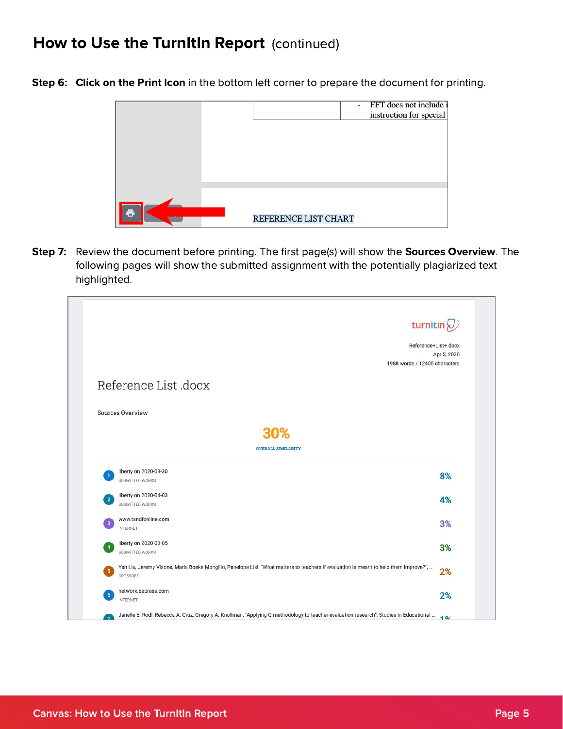Step 6: Click on the Print Icon in the bottom left corner to prepare the document for printing.

|   |                      | - FFT does not include i<br>instruction for special |
|---|----------------------|-----------------------------------------------------|
|   |                      |                                                     |
| ē | REFERENCE LIST CHART |                                                     |

Step 7: Review the document before printing. The first page(s) will show the Sources Overview. The following pages will show the submitted assignment with the potentially plagiarized text highlighted.

| turnitin $\sqrt{2}$                                                                                                                   |                      |
|---------------------------------------------------------------------------------------------------------------------------------------|----------------------|
|                                                                                                                                       | Reference+List+.docx |
|                                                                                                                                       | Apr 5, 2020          |
| 1988 words / 12405 characters                                                                                                         |                      |
| Reference List .docx                                                                                                                  |                      |
| <b>Sources Overview</b>                                                                                                               |                      |
| 30%                                                                                                                                   |                      |
| <b>OVERALL SIMILARITY</b>                                                                                                             |                      |
| liberty on 2020-03-30<br>1                                                                                                            | 8%                   |
| SUBMITTED WORKS                                                                                                                       |                      |
| liberty on 2020-04-03<br>$\overline{2}$                                                                                               | 4%                   |
| SUBMITTED WORKS                                                                                                                       |                      |
| www.tandfonline.com<br>3                                                                                                              | 3%                   |
| <b>INTERNET</b>                                                                                                                       |                      |
|                                                                                                                                       | 3%                   |
| liberty on 2020-03-05                                                                                                                 |                      |
| $\overline{\mathbf{4}}$<br>SUBMITTED WORKS                                                                                            |                      |
| Yan Liu, Jeremy Visone, Maria Boeke Mongillo, Penelope Lisi. "What matters to teachers if evaluation is meant to help them improve?", |                      |
| $\overline{\mathbf{5}}$<br>CROSSREF                                                                                                   | 2%                   |
|                                                                                                                                       |                      |
| network.bepress.com<br>6<br><b>INTERNET</b>                                                                                           | 2%                   |